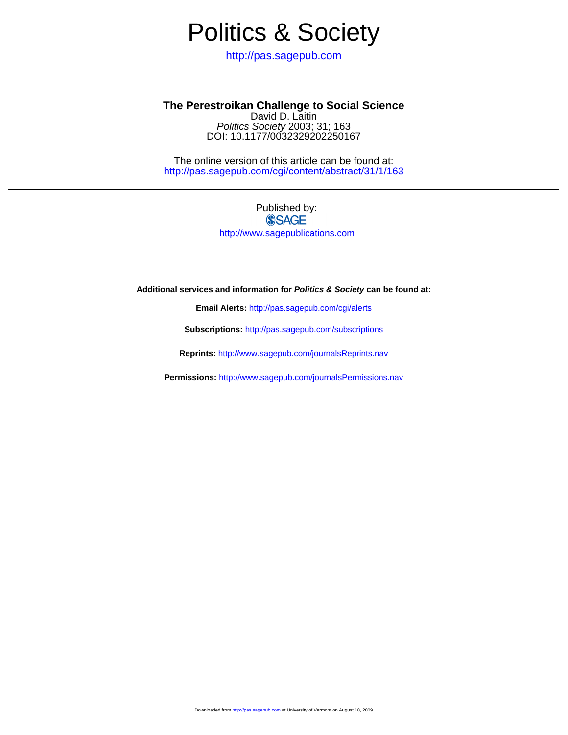# Politics & Society

http://pas.sagepub.com

## **The Perestroikan Challenge to Social Science**

DOI: 10.1177/0032329202250167 Politics Society 2003; 31; 163 David D. Laitin

http://pas.sagepub.com/cgi/content/abstract/31/1/163 The online version of this article can be found at:

> Published by: **SSAGE** http://www.sagepublications.com

**Additional services and information for Politics & Society can be found at:**

**Email Alerts:** <http://pas.sagepub.com/cgi/alerts>

**Subscriptions:** <http://pas.sagepub.com/subscriptions>

**Reprints:** <http://www.sagepub.com/journalsReprints.nav>

**Permissions:** <http://www.sagepub.com/journalsPermissions.nav>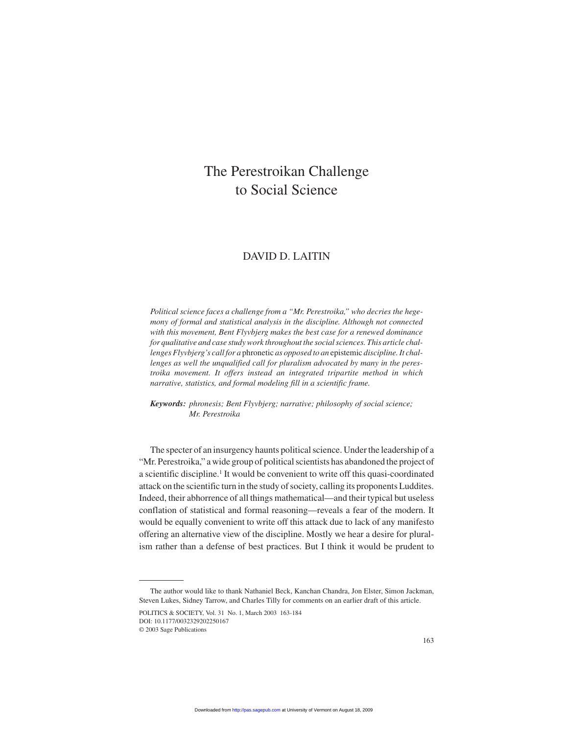# The Perestroikan Challenge to Social Science

### DAVID D. LAITIN

*Political science faces a challenge from a "Mr. Perestroika," who decries the hegemony of formal and statistical analysis in the discipline. Although not connected with this movement, Bent Flyvbjerg makes the best case for a renewed dominance for qualitative and case study work throughout the social sciences. This article challenges Flyvbjerg's call for a* phronetic *as opposed to an* epistemic *discipline. It challenges as well the unqualified call for pluralism advocated by many in the perestroika movement. It offers instead an integrated tripartite method in which narrative, statistics, and formal modeling fill in a scientific frame.*

*Keywords: phronesis; Bent Flyvbjerg; narrative; philosophy of social science; Mr. Perestroika*

The specter of an insurgency haunts political science. Under the leadership of a "Mr. Perestroika," a wide group of political scientists has abandoned the project of a scientific discipline.1 It would be convenient to write off this quasi-coordinated attack on the scientific turn in the study of society, calling its proponents Luddites. Indeed, their abhorrence of all things mathematical—and their typical but useless conflation of statistical and formal reasoning—reveals a fear of the modern. It would be equally convenient to write off this attack due to lack of any manifesto offering an alternative view of the discipline. Mostly we hear a desire for pluralism rather than a defense of best practices. But I think it would be prudent to

The author would like to thank Nathaniel Beck, Kanchan Chandra, Jon Elster, Simon Jackman, Steven Lukes, Sidney Tarrow, and Charles Tilly for comments on an earlier draft of this article.

POLITICS & SOCIETY, Vol. 31 No. 1, March 2003 163-184

DOI: 10.1177/0032329202250167

<sup>© 2003</sup> Sage Publications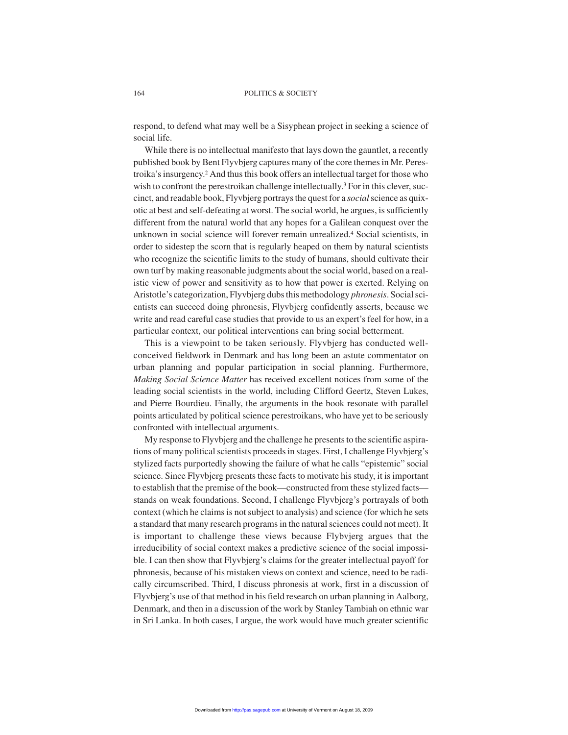respond, to defend what may well be a Sisyphean project in seeking a science of social life.

While there is no intellectual manifesto that lays down the gauntlet, a recently published book by Bent Flyvbjerg captures many of the core themes in Mr. Perestroika's insurgency.2 And thus this book offers an intellectual target for those who wish to confront the perestroikan challenge intellectually.<sup>3</sup> For in this clever, succinct, and readable book, Flyvbjerg portrays the quest for a *social*science as quixotic at best and self-defeating at worst. The social world, he argues, is sufficiently different from the natural world that any hopes for a Galilean conquest over the unknown in social science will forever remain unrealized.4 Social scientists, in order to sidestep the scorn that is regularly heaped on them by natural scientists who recognize the scientific limits to the study of humans, should cultivate their own turf by making reasonable judgments about the social world, based on a realistic view of power and sensitivity as to how that power is exerted. Relying on Aristotle's categorization, Flyvbjerg dubs this methodology *phronesis*. Social scientists can succeed doing phronesis, Flyvbjerg confidently asserts, because we write and read careful case studies that provide to us an expert's feel for how, in a particular context, our political interventions can bring social betterment.

This is a viewpoint to be taken seriously. Flyvbjerg has conducted wellconceived fieldwork in Denmark and has long been an astute commentator on urban planning and popular participation in social planning. Furthermore, *Making Social Science Matter* has received excellent notices from some of the leading social scientists in the world, including Clifford Geertz, Steven Lukes, and Pierre Bourdieu. Finally, the arguments in the book resonate with parallel points articulated by political science perestroikans, who have yet to be seriously confronted with intellectual arguments.

My response to Flyvbjerg and the challenge he presents to the scientific aspirations of many political scientists proceeds in stages. First, I challenge Flyvbjerg's stylized facts purportedly showing the failure of what he calls "epistemic" social science. Since Flyvbjerg presents these facts to motivate his study, it is important to establish that the premise of the book—constructed from these stylized facts stands on weak foundations. Second, I challenge Flyvbjerg's portrayals of both context (which he claims is not subject to analysis) and science (for which he sets a standard that many research programs in the natural sciences could not meet). It is important to challenge these views because Flybvjerg argues that the irreducibility of social context makes a predictive science of the social impossible. I can then show that Flyvbjerg's claims for the greater intellectual payoff for phronesis, because of his mistaken views on context and science, need to be radically circumscribed. Third, I discuss phronesis at work, first in a discussion of Flyvbjerg's use of that method in his field research on urban planning in Aalborg, Denmark, and then in a discussion of the work by Stanley Tambiah on ethnic war in Sri Lanka. In both cases, I argue, the work would have much greater scientific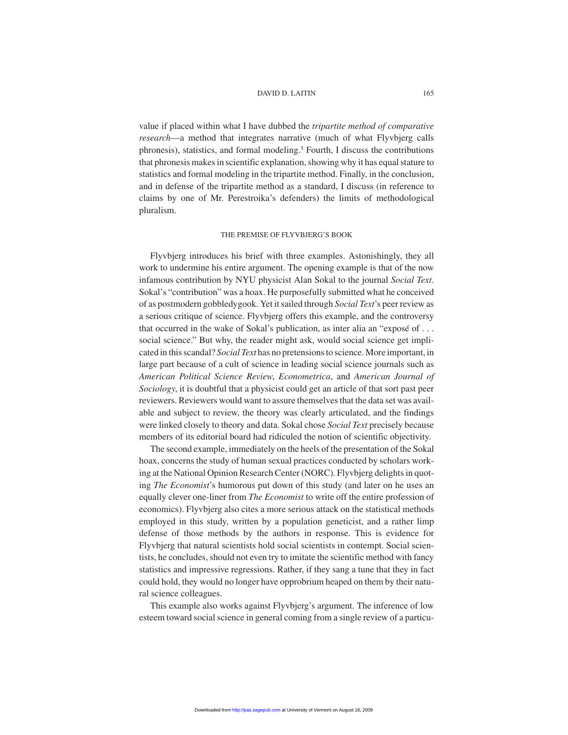value if placed within what I have dubbed the *tripartite method of comparative research*—a method that integrates narrative (much of what Flyvbjerg calls phronesis), statistics, and formal modeling.5 Fourth, I discuss the contributions that phronesis makes in scientific explanation, showing why it has equal stature to statistics and formal modeling in the tripartite method. Finally, in the conclusion, and in defense of the tripartite method as a standard, I discuss (in reference to claims by one of Mr. Perestroika's defenders) the limits of methodological pluralism.

#### THE PREMISE OF FLYVBJERG'S BOOK

Flyvbjerg introduces his brief with three examples. Astonishingly, they all work to undermine his entire argument. The opening example is that of the now infamous contribution by NYU physicist Alan Sokal to the journal *Social Text*. Sokal's "contribution" was a hoax. He purposefully submitted what he conceived of as postmodern gobbledygook. Yet it sailed through *Social Text*'s peer review as a serious critique of science. Flyvbjerg offers this example, and the controversy that occurred in the wake of Sokal's publication, as inter alia an "exposé of... social science." But why, the reader might ask, would social science get implicated in this scandal? *Social Text* has no pretensions to science. More important, in large part because of a cult of science in leading social science journals such as *American Political Science Review*, *Econometrica*, and *American Journal of Sociology*, it is doubtful that a physicist could get an article of that sort past peer reviewers. Reviewers would want to assure themselves that the data set was available and subject to review, the theory was clearly articulated, and the findings were linked closely to theory and data. Sokal chose *Social Text* precisely because members of its editorial board had ridiculed the notion of scientific objectivity.

The second example, immediately on the heels of the presentation of the Sokal hoax, concerns the study of human sexual practices conducted by scholars working at the National Opinion Research Center (NORC). Flyvbjerg delights in quoting *The Economist*'s humorous put down of this study (and later on he uses an equally clever one-liner from *The Economist* to write off the entire profession of economics). Flyvbjerg also cites a more serious attack on the statistical methods employed in this study, written by a population geneticist, and a rather limp defense of those methods by the authors in response. This is evidence for Flyvbjerg that natural scientists hold social scientists in contempt. Social scientists, he concludes, should not even try to imitate the scientific method with fancy statistics and impressive regressions. Rather, if they sang a tune that they in fact could hold, they would no longer have opprobrium heaped on them by their natural science colleagues.

This example also works against Flyvbjerg's argument. The inference of low esteem toward social science in general coming from a single review of a particu-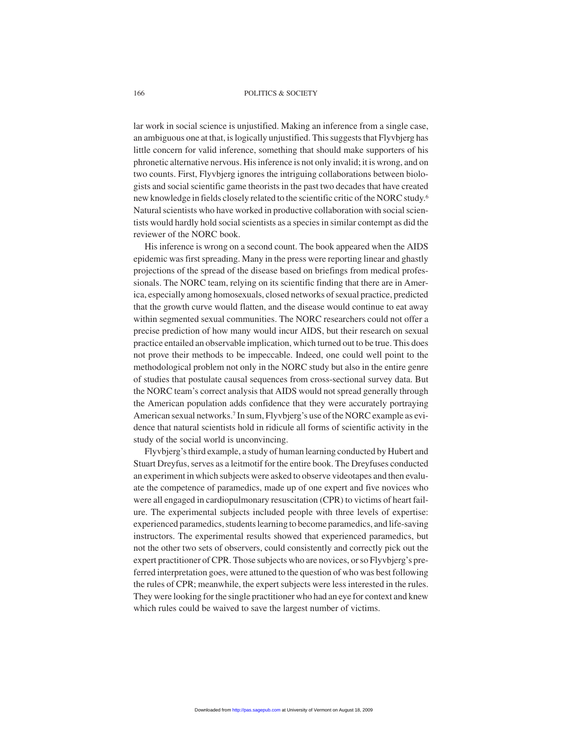lar work in social science is unjustified. Making an inference from a single case, an ambiguous one at that, is logically unjustified. This suggests that Flyvbjerg has little concern for valid inference, something that should make supporters of his phronetic alternative nervous. His inference is not only invalid; it is wrong, and on two counts. First, Flyvbjerg ignores the intriguing collaborations between biologists and social scientific game theorists in the past two decades that have created new knowledge in fields closely related to the scientific critic of the NORC study.6 Natural scientists who have worked in productive collaboration with social scientists would hardly hold social scientists as a species in similar contempt as did the reviewer of the NORC book.

His inference is wrong on a second count. The book appeared when the AIDS epidemic was first spreading. Many in the press were reporting linear and ghastly projections of the spread of the disease based on briefings from medical professionals. The NORC team, relying on its scientific finding that there are in America, especially among homosexuals, closed networks of sexual practice, predicted that the growth curve would flatten, and the disease would continue to eat away within segmented sexual communities. The NORC researchers could not offer a precise prediction of how many would incur AIDS, but their research on sexual practice entailed an observable implication, which turned out to be true. This does not prove their methods to be impeccable. Indeed, one could well point to the methodological problem not only in the NORC study but also in the entire genre of studies that postulate causal sequences from cross-sectional survey data. But the NORC team's correct analysis that AIDS would not spread generally through the American population adds confidence that they were accurately portraying American sexual networks.7 In sum, Flyvbjerg's use of the NORC example as evidence that natural scientists hold in ridicule all forms of scientific activity in the study of the social world is unconvincing.

Flyvbjerg's third example, a study of human learning conducted by Hubert and Stuart Dreyfus, serves as a leitmotif for the entire book. The Dreyfuses conducted an experiment in which subjects were asked to observe videotapes and then evaluate the competence of paramedics, made up of one expert and five novices who were all engaged in cardiopulmonary resuscitation (CPR) to victims of heart failure. The experimental subjects included people with three levels of expertise: experienced paramedics, students learning to become paramedics, and life-saving instructors. The experimental results showed that experienced paramedics, but not the other two sets of observers, could consistently and correctly pick out the expert practitioner of CPR. Those subjects who are novices, or so Flyvbjerg's preferred interpretation goes, were attuned to the question of who was best following the rules of CPR; meanwhile, the expert subjects were less interested in the rules. They were looking for the single practitioner who had an eye for context and knew which rules could be waived to save the largest number of victims.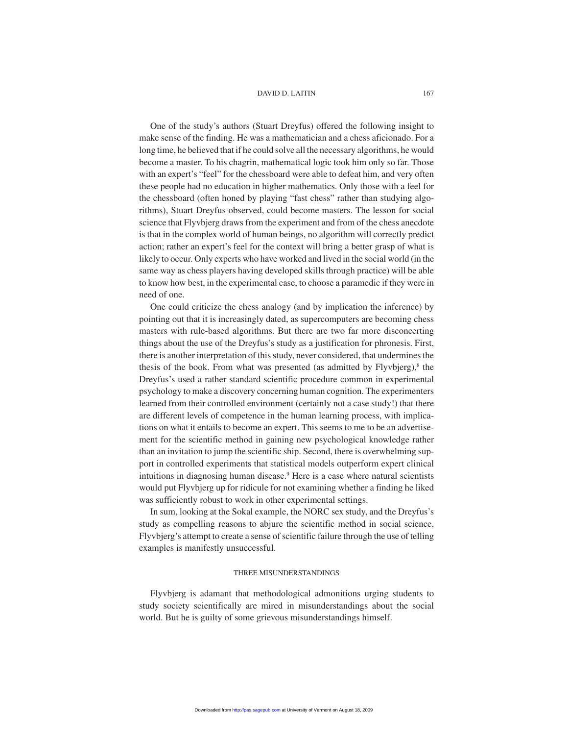One of the study's authors (Stuart Dreyfus) offered the following insight to make sense of the finding. He was a mathematician and a chess aficionado. For a long time, he believed that if he could solve all the necessary algorithms, he would become a master. To his chagrin, mathematical logic took him only so far. Those with an expert's "feel" for the chessboard were able to defeat him, and very often these people had no education in higher mathematics. Only those with a feel for the chessboard (often honed by playing "fast chess" rather than studying algorithms), Stuart Dreyfus observed, could become masters. The lesson for social science that Flyvbjerg draws from the experiment and from of the chess anecdote is that in the complex world of human beings, no algorithm will correctly predict action; rather an expert's feel for the context will bring a better grasp of what is likely to occur. Only experts who have worked and lived in the social world (in the same way as chess players having developed skills through practice) will be able to know how best, in the experimental case, to choose a paramedic if they were in need of one.

One could criticize the chess analogy (and by implication the inference) by pointing out that it is increasingly dated, as supercomputers are becoming chess masters with rule-based algorithms. But there are two far more disconcerting things about the use of the Dreyfus's study as a justification for phronesis. First, there is another interpretation of this study, never considered, that undermines the thesis of the book. From what was presented (as admitted by  $Flyvbjerg$ ),<sup>8</sup> the Dreyfus's used a rather standard scientific procedure common in experimental psychology to make a discovery concerning human cognition. The experimenters learned from their controlled environment (certainly not a case study!) that there are different levels of competence in the human learning process, with implications on what it entails to become an expert. This seems to me to be an advertisement for the scientific method in gaining new psychological knowledge rather than an invitation to jump the scientific ship. Second, there is overwhelming support in controlled experiments that statistical models outperform expert clinical intuitions in diagnosing human disease.<sup>9</sup> Here is a case where natural scientists would put Flyvbjerg up for ridicule for not examining whether a finding he liked was sufficiently robust to work in other experimental settings.

In sum, looking at the Sokal example, the NORC sex study, and the Dreyfus's study as compelling reasons to abjure the scientific method in social science, Flyvbjerg's attempt to create a sense of scientific failure through the use of telling examples is manifestly unsuccessful.

#### THREE MISUNDERSTANDINGS

Flyvbjerg is adamant that methodological admonitions urging students to study society scientifically are mired in misunderstandings about the social world. But he is guilty of some grievous misunderstandings himself.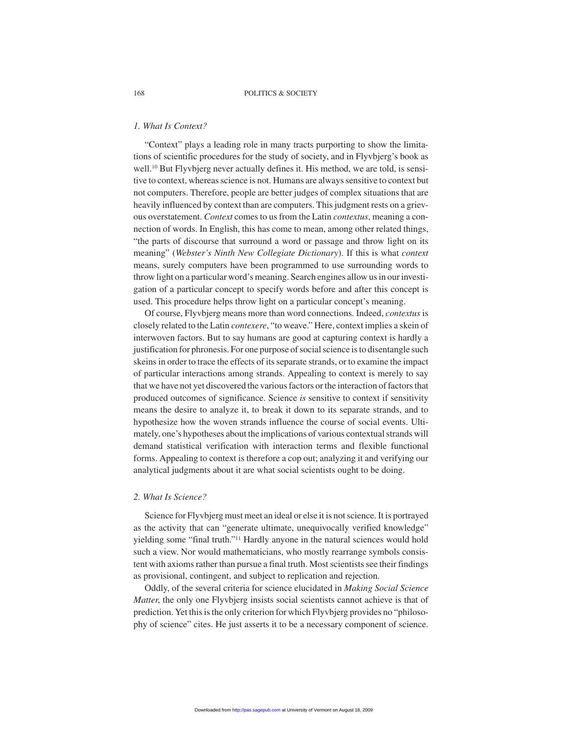#### *1. What Is Context?*

"Context" plays a leading role in many tracts purporting to show the limitations of scientific procedures for the study of society, and in Flyvbjerg's book as well.<sup>10</sup> But Flyvbjerg never actually defines it. His method, we are told, is sensitive to context, whereas science is not. Humans are always sensitive to context but not computers. Therefore, people are better judges of complex situations that are heavily influenced by context than are computers. This judgment rests on a grievous overstatement. *Context* comes to us from the Latin *contextus*, meaning a connection of words. In English, this has come to mean, among other related things, "the parts of discourse that surround a word or passage and throw light on its meaning" (*Webster's Ninth New Collegiate Dictionary*). If this is what *context* means, surely computers have been programmed to use surrounding words to throw light on a particular word's meaning. Search engines allow us in our investigation of a particular concept to specify words before and after this concept is used. This procedure helps throw light on a particular concept's meaning.

Of course, Flyvbjerg means more than word connections. Indeed, *contextus* is closely related to the Latin *contexere*, "to weave." Here, context implies a skein of interwoven factors. But to say humans are good at capturing context is hardly a justification for phronesis. For one purpose of social science is to disentangle such skeins in order to trace the effects of its separate strands, or to examine the impact of particular interactions among strands. Appealing to context is merely to say that we have not yet discovered the various factors or the interaction of factors that produced outcomes of significance. Science *is* sensitive to context if sensitivity means the desire to analyze it, to break it down to its separate strands, and to hypothesize how the woven strands influence the course of social events. Ultimately, one's hypotheses about the implications of various contextual strands will demand statistical verification with interaction terms and flexible functional forms. Appealing to context is therefore a cop out; analyzing it and verifying our analytical judgments about it are what social scientists ought to be doing.

#### *2. What Is Science?*

Science for Flyvbjerg must meet an ideal or else it is not science. It is portrayed as the activity that can "generate ultimate, unequivocally verified knowledge" yielding some "final truth."11 Hardly anyone in the natural sciences would hold such a view. Nor would mathematicians, who mostly rearrange symbols consistent with axioms rather than pursue a final truth. Most scientists see their findings as provisional, contingent, and subject to replication and rejection.

Oddly, of the several criteria for science elucidated in *Making Social Science Matter*, the only one Flyvbjerg insists social scientists cannot achieve is that of prediction. Yet this is the only criterion for which Flyvbjerg provides no "philosophy of science" cites. He just asserts it to be a necessary component of science.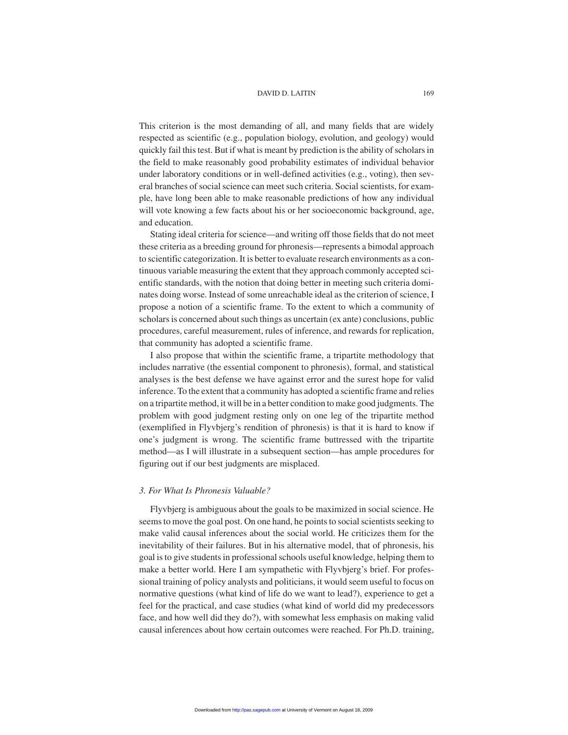This criterion is the most demanding of all, and many fields that are widely respected as scientific (e.g., population biology, evolution, and geology) would quickly fail this test. But if what is meant by prediction is the ability of scholars in the field to make reasonably good probability estimates of individual behavior under laboratory conditions or in well-defined activities (e.g., voting), then several branches of social science can meet such criteria. Social scientists, for example, have long been able to make reasonable predictions of how any individual will vote knowing a few facts about his or her socioeconomic background, age, and education.

Stating ideal criteria for science—and writing off those fields that do not meet these criteria as a breeding ground for phronesis—represents a bimodal approach to scientific categorization. It is better to evaluate research environments as a continuous variable measuring the extent that they approach commonly accepted scientific standards, with the notion that doing better in meeting such criteria dominates doing worse. Instead of some unreachable ideal as the criterion of science, I propose a notion of a scientific frame. To the extent to which a community of scholars is concerned about such things as uncertain (ex ante) conclusions, public procedures, careful measurement, rules of inference, and rewards for replication, that community has adopted a scientific frame.

I also propose that within the scientific frame, a tripartite methodology that includes narrative (the essential component to phronesis), formal, and statistical analyses is the best defense we have against error and the surest hope for valid inference. To the extent that a community has adopted a scientific frame and relies on a tripartite method, it will be in a better condition to make good judgments. The problem with good judgment resting only on one leg of the tripartite method (exemplified in Flyvbjerg's rendition of phronesis) is that it is hard to know if one's judgment is wrong. The scientific frame buttressed with the tripartite method—as I will illustrate in a subsequent section—has ample procedures for figuring out if our best judgments are misplaced.

#### *3. For What Is Phronesis Valuable?*

Flyvbjerg is ambiguous about the goals to be maximized in social science. He seems to move the goal post. On one hand, he points to social scientists seeking to make valid causal inferences about the social world. He criticizes them for the inevitability of their failures. But in his alternative model, that of phronesis, his goal is to give students in professional schools useful knowledge, helping them to make a better world. Here I am sympathetic with Flyvbjerg's brief. For professional training of policy analysts and politicians, it would seem useful to focus on normative questions (what kind of life do we want to lead?), experience to get a feel for the practical, and case studies (what kind of world did my predecessors face, and how well did they do?), with somewhat less emphasis on making valid causal inferences about how certain outcomes were reached. For Ph.D. training,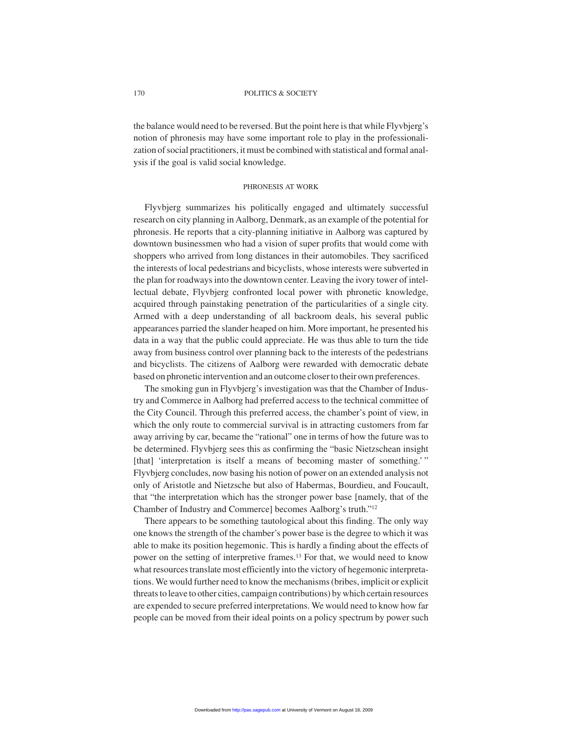the balance would need to be reversed. But the point here is that while Flyvbjerg's notion of phronesis may have some important role to play in the professionalization of social practitioners, it must be combined with statistical and formal analysis if the goal is valid social knowledge.

#### PHRONESIS AT WORK

Flyvbjerg summarizes his politically engaged and ultimately successful research on city planning in Aalborg, Denmark, as an example of the potential for phronesis. He reports that a city-planning initiative in Aalborg was captured by downtown businessmen who had a vision of super profits that would come with shoppers who arrived from long distances in their automobiles. They sacrificed the interests of local pedestrians and bicyclists, whose interests were subverted in the plan for roadways into the downtown center. Leaving the ivory tower of intellectual debate, Flyvbjerg confronted local power with phronetic knowledge, acquired through painstaking penetration of the particularities of a single city. Armed with a deep understanding of all backroom deals, his several public appearances parried the slander heaped on him. More important, he presented his data in a way that the public could appreciate. He was thus able to turn the tide away from business control over planning back to the interests of the pedestrians and bicyclists. The citizens of Aalborg were rewarded with democratic debate based on phronetic intervention and an outcome closer to their own preferences.

The smoking gun in Flyvbjerg's investigation was that the Chamber of Industry and Commerce in Aalborg had preferred access to the technical committee of the City Council. Through this preferred access, the chamber's point of view, in which the only route to commercial survival is in attracting customers from far away arriving by car, became the "rational" one in terms of how the future was to be determined. Flyvbjerg sees this as confirming the "basic Nietzschean insight [that] 'interpretation is itself a means of becoming master of something.'" Flyvbjerg concludes, now basing his notion of power on an extended analysis not only of Aristotle and Nietzsche but also of Habermas, Bourdieu, and Foucault, that "the interpretation which has the stronger power base [namely, that of the Chamber of Industry and Commerce] becomes Aalborg's truth."12

There appears to be something tautological about this finding. The only way one knows the strength of the chamber's power base is the degree to which it was able to make its position hegemonic. This is hardly a finding about the effects of power on the setting of interpretive frames.13 For that, we would need to know what resources translate most efficiently into the victory of hegemonic interpretations. We would further need to know the mechanisms (bribes, implicit or explicit threats to leave to other cities, campaign contributions) by which certain resources are expended to secure preferred interpretations. We would need to know how far people can be moved from their ideal points on a policy spectrum by power such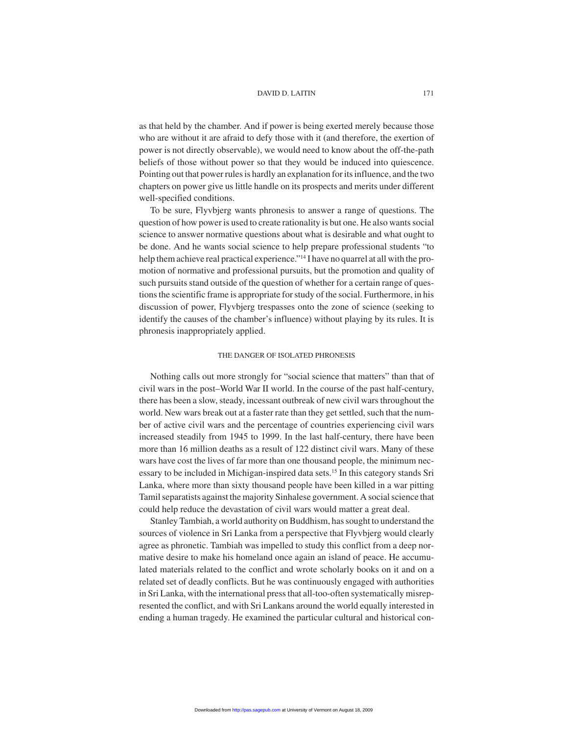as that held by the chamber. And if power is being exerted merely because those who are without it are afraid to defy those with it (and therefore, the exertion of power is not directly observable), we would need to know about the off-the-path beliefs of those without power so that they would be induced into quiescence. Pointing out that power rules is hardly an explanation for its influence, and the two chapters on power give us little handle on its prospects and merits under different well-specified conditions.

To be sure, Flyvbjerg wants phronesis to answer a range of questions. The question of how power is used to create rationality is but one. He also wants social science to answer normative questions about what is desirable and what ought to be done. And he wants social science to help prepare professional students "to help them achieve real practical experience."14 I have no quarrel at all with the promotion of normative and professional pursuits, but the promotion and quality of such pursuits stand outside of the question of whether for a certain range of questions the scientific frame is appropriate for study of the social. Furthermore, in his discussion of power, Flyvbjerg trespasses onto the zone of science (seeking to identify the causes of the chamber's influence) without playing by its rules. It is phronesis inappropriately applied.

#### THE DANGER OF ISOLATED PHRONESIS

Nothing calls out more strongly for "social science that matters" than that of civil wars in the post–World War II world. In the course of the past half-century, there has been a slow, steady, incessant outbreak of new civil wars throughout the world. New wars break out at a faster rate than they get settled, such that the number of active civil wars and the percentage of countries experiencing civil wars increased steadily from 1945 to 1999. In the last half-century, there have been more than 16 million deaths as a result of 122 distinct civil wars. Many of these wars have cost the lives of far more than one thousand people, the minimum necessary to be included in Michigan-inspired data sets.15 In this category stands Sri Lanka, where more than sixty thousand people have been killed in a war pitting Tamil separatists against the majority Sinhalese government. A social science that could help reduce the devastation of civil wars would matter a great deal.

Stanley Tambiah, a world authority on Buddhism, has sought to understand the sources of violence in Sri Lanka from a perspective that Flyvbjerg would clearly agree as phronetic. Tambiah was impelled to study this conflict from a deep normative desire to make his homeland once again an island of peace. He accumulated materials related to the conflict and wrote scholarly books on it and on a related set of deadly conflicts. But he was continuously engaged with authorities in Sri Lanka, with the international press that all-too-often systematically misrepresented the conflict, and with Sri Lankans around the world equally interested in ending a human tragedy. He examined the particular cultural and historical con-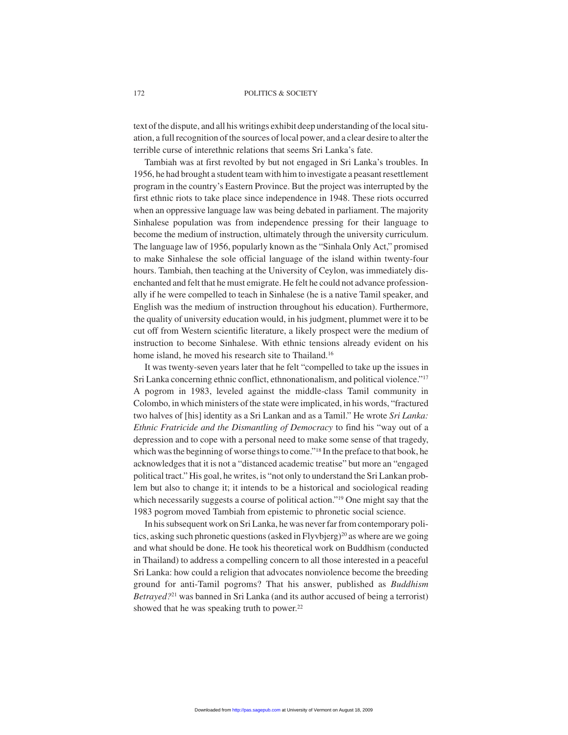text of the dispute, and all his writings exhibit deep understanding of the local situation, a full recognition of the sources of local power, and a clear desire to alter the terrible curse of interethnic relations that seems Sri Lanka's fate.

Tambiah was at first revolted by but not engaged in Sri Lanka's troubles. In 1956, he had brought a student team with him to investigate a peasant resettlement program in the country's Eastern Province. But the project was interrupted by the first ethnic riots to take place since independence in 1948. These riots occurred when an oppressive language law was being debated in parliament. The majority Sinhalese population was from independence pressing for their language to become the medium of instruction, ultimately through the university curriculum. The language law of 1956, popularly known as the "Sinhala Only Act," promised to make Sinhalese the sole official language of the island within twenty-four hours. Tambiah, then teaching at the University of Ceylon, was immediately disenchanted and felt that he must emigrate. He felt he could not advance professionally if he were compelled to teach in Sinhalese (he is a native Tamil speaker, and English was the medium of instruction throughout his education). Furthermore, the quality of university education would, in his judgment, plummet were it to be cut off from Western scientific literature, a likely prospect were the medium of instruction to become Sinhalese. With ethnic tensions already evident on his home island, he moved his research site to Thailand.<sup>16</sup>

It was twenty-seven years later that he felt "compelled to take up the issues in Sri Lanka concerning ethnic conflict, ethnonationalism, and political violence."17 A pogrom in 1983, leveled against the middle-class Tamil community in Colombo, in which ministers of the state were implicated, in his words, "fractured two halves of [his] identity as a Sri Lankan and as a Tamil." He wrote *Sri Lanka: Ethnic Fratricide and the Dismantling of Democracy* to find his "way out of a depression and to cope with a personal need to make some sense of that tragedy, which was the beginning of worse things to come."<sup>18</sup> In the preface to that book, he acknowledges that it is not a "distanced academic treatise" but more an "engaged political tract." His goal, he writes, is "not only to understand the Sri Lankan problem but also to change it; it intends to be a historical and sociological reading which necessarily suggests a course of political action."19 One might say that the 1983 pogrom moved Tambiah from epistemic to phronetic social science.

In his subsequent work on Sri Lanka, he was never far from contemporary politics, asking such phronetic questions (asked in Flyvbjerg)<sup>20</sup> as where are we going and what should be done. He took his theoretical work on Buddhism (conducted in Thailand) to address a compelling concern to all those interested in a peaceful Sri Lanka: how could a religion that advocates nonviolence become the breeding ground for anti-Tamil pogroms? That his answer, published as *Buddhism Betrayed?*<sup>21</sup> was banned in Sri Lanka (and its author accused of being a terrorist) showed that he was speaking truth to power.<sup>22</sup>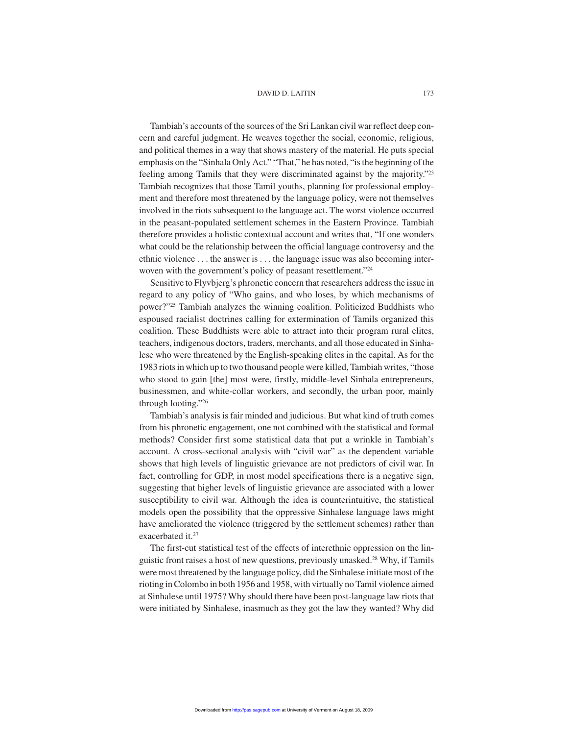Tambiah's accounts of the sources of the Sri Lankan civil war reflect deep concern and careful judgment. He weaves together the social, economic, religious, and political themes in a way that shows mastery of the material. He puts special emphasis on the "Sinhala Only Act." "That," he has noted, "is the beginning of the feeling among Tamils that they were discriminated against by the majority."23 Tambiah recognizes that those Tamil youths, planning for professional employment and therefore most threatened by the language policy, were not themselves involved in the riots subsequent to the language act. The worst violence occurred in the peasant-populated settlement schemes in the Eastern Province. Tambiah therefore provides a holistic contextual account and writes that, "If one wonders what could be the relationship between the official language controversy and the ethnic violence . . . the answer is . . . the language issue was also becoming interwoven with the government's policy of peasant resettlement."<sup>24</sup>

Sensitive to Flyvbjerg's phronetic concern that researchers address the issue in regard to any policy of "Who gains, and who loses, by which mechanisms of power?"25 Tambiah analyzes the winning coalition. Politicized Buddhists who espoused racialist doctrines calling for extermination of Tamils organized this coalition. These Buddhists were able to attract into their program rural elites, teachers, indigenous doctors, traders, merchants, and all those educated in Sinhalese who were threatened by the English-speaking elites in the capital. As for the 1983 riots in which up to two thousand people were killed, Tambiah writes, "those who stood to gain [the] most were, firstly, middle-level Sinhala entrepreneurs, businessmen, and white-collar workers, and secondly, the urban poor, mainly through looting."26

Tambiah's analysis is fair minded and judicious. But what kind of truth comes from his phronetic engagement, one not combined with the statistical and formal methods? Consider first some statistical data that put a wrinkle in Tambiah's account. A cross-sectional analysis with "civil war" as the dependent variable shows that high levels of linguistic grievance are not predictors of civil war. In fact, controlling for GDP, in most model specifications there is a negative sign, suggesting that higher levels of linguistic grievance are associated with a lower susceptibility to civil war. Although the idea is counterintuitive, the statistical models open the possibility that the oppressive Sinhalese language laws might have ameliorated the violence (triggered by the settlement schemes) rather than exacerbated it.<sup>27</sup>

The first-cut statistical test of the effects of interethnic oppression on the linguistic front raises a host of new questions, previously unasked.28 Why, if Tamils were most threatened by the language policy, did the Sinhalese initiate most of the rioting in Colombo in both 1956 and 1958, with virtually no Tamil violence aimed at Sinhalese until 1975? Why should there have been post-language law riots that were initiated by Sinhalese, inasmuch as they got the law they wanted? Why did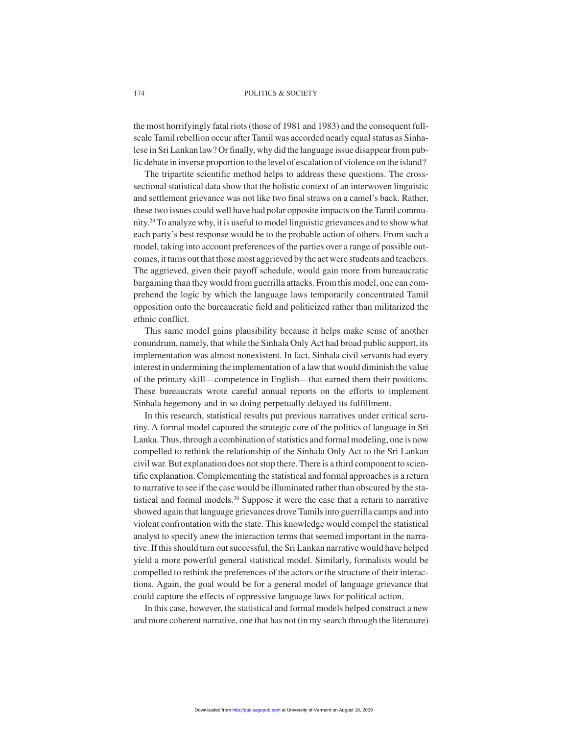the most horrifyingly fatal riots (those of 1981 and 1983) and the consequent fullscale Tamil rebellion occur after Tamil was accorded nearly equal status as Sinhalese in Sri Lankan law? Or finally, why did the language issue disappear from public debate in inverse proportion to the level of escalation of violence on the island?

The tripartite scientific method helps to address these questions. The crosssectional statistical data show that the holistic context of an interwoven linguistic and settlement grievance was not like two final straws on a camel's back. Rather, these two issues could well have had polar opposite impacts on the Tamil community.29 To analyze why, it is useful to model linguistic grievances and to show what each party's best response would be to the probable action of others. From such a model, taking into account preferences of the parties over a range of possible outcomes, it turns out that those most aggrieved by the act were students and teachers. The aggrieved, given their payoff schedule, would gain more from bureaucratic bargaining than they would from guerrilla attacks. From this model, one can comprehend the logic by which the language laws temporarily concentrated Tamil opposition onto the bureaucratic field and politicized rather than militarized the ethnic conflict.

This same model gains plausibility because it helps make sense of another conundrum, namely, that while the Sinhala Only Act had broad public support, its implementation was almost nonexistent. In fact, Sinhala civil servants had every interest in undermining the implementation of a law that would diminish the value of the primary skill—competence in English—that earned them their positions. These bureaucrats wrote careful annual reports on the efforts to implement Sinhala hegemony and in so doing perpetually delayed its fulfillment.

In this research, statistical results put previous narratives under critical scrutiny. A formal model captured the strategic core of the politics of language in Sri Lanka. Thus, through a combination of statistics and formal modeling, one is now compelled to rethink the relationship of the Sinhala Only Act to the Sri Lankan civil war. But explanation does not stop there. There is a third component to scientific explanation. Complementing the statistical and formal approaches is a return to narrative to see if the case would be illuminated rather than obscured by the statistical and formal models.<sup>30</sup> Suppose it were the case that a return to narrative showed again that language grievances drove Tamils into guerrilla camps and into violent confrontation with the state. This knowledge would compel the statistical analyst to specify anew the interaction terms that seemed important in the narrative. If this should turn out successful, the Sri Lankan narrative would have helped yield a more powerful general statistical model. Similarly, formalists would be compelled to rethink the preferences of the actors or the structure of their interactions. Again, the goal would be for a general model of language grievance that could capture the effects of oppressive language laws for political action.

In this case, however, the statistical and formal models helped construct a new and more coherent narrative, one that has not (in my search through the literature)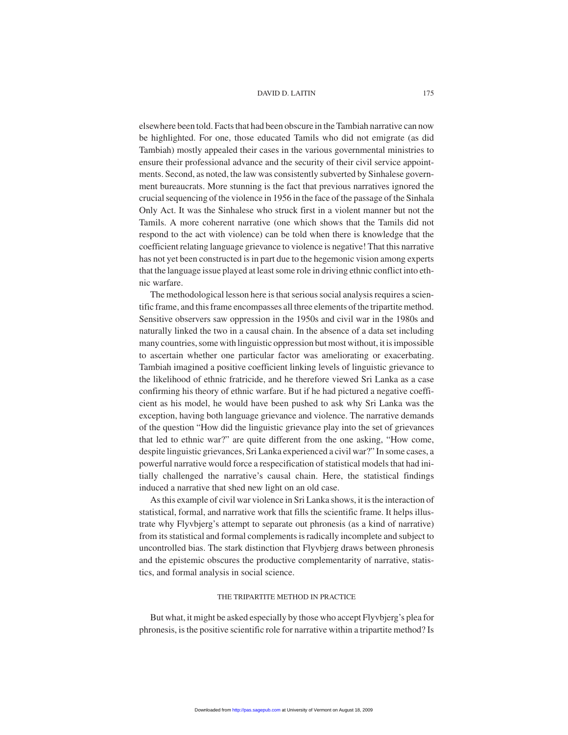elsewhere been told. Facts that had been obscure in the Tambiah narrative can now be highlighted. For one, those educated Tamils who did not emigrate (as did Tambiah) mostly appealed their cases in the various governmental ministries to ensure their professional advance and the security of their civil service appointments. Second, as noted, the law was consistently subverted by Sinhalese government bureaucrats. More stunning is the fact that previous narratives ignored the crucial sequencing of the violence in 1956 in the face of the passage of the Sinhala Only Act. It was the Sinhalese who struck first in a violent manner but not the Tamils. A more coherent narrative (one which shows that the Tamils did not respond to the act with violence) can be told when there is knowledge that the coefficient relating language grievance to violence is negative! That this narrative has not yet been constructed is in part due to the hegemonic vision among experts that the language issue played at least some role in driving ethnic conflict into ethnic warfare.

The methodological lesson here is that serious social analysis requires a scientific frame, and this frame encompasses all three elements of the tripartite method. Sensitive observers saw oppression in the 1950s and civil war in the 1980s and naturally linked the two in a causal chain. In the absence of a data set including many countries, some with linguistic oppression but most without, it is impossible to ascertain whether one particular factor was ameliorating or exacerbating. Tambiah imagined a positive coefficient linking levels of linguistic grievance to the likelihood of ethnic fratricide, and he therefore viewed Sri Lanka as a case confirming his theory of ethnic warfare. But if he had pictured a negative coefficient as his model, he would have been pushed to ask why Sri Lanka was the exception, having both language grievance and violence. The narrative demands of the question "How did the linguistic grievance play into the set of grievances that led to ethnic war?" are quite different from the one asking, "How come, despite linguistic grievances, Sri Lanka experienced a civil war?" In some cases, a powerful narrative would force a respecification of statistical models that had initially challenged the narrative's causal chain. Here, the statistical findings induced a narrative that shed new light on an old case.

As this example of civil war violence in Sri Lanka shows, it is the interaction of statistical, formal, and narrative work that fills the scientific frame. It helps illustrate why Flyvbjerg's attempt to separate out phronesis (as a kind of narrative) from its statistical and formal complements is radically incomplete and subject to uncontrolled bias. The stark distinction that Flyvbjerg draws between phronesis and the epistemic obscures the productive complementarity of narrative, statistics, and formal analysis in social science.

#### THE TRIPARTITE METHOD IN PRACTICE

But what, it might be asked especially by those who accept Flyvbjerg's plea for phronesis, is the positive scientific role for narrative within a tripartite method? Is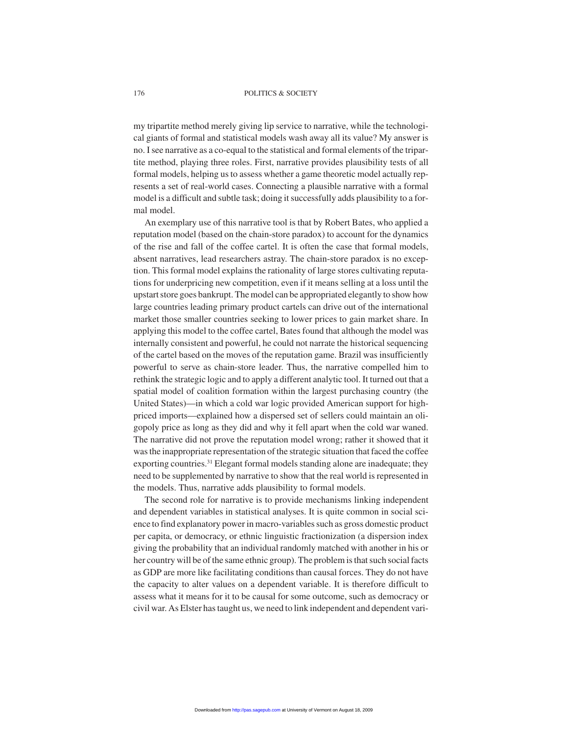my tripartite method merely giving lip service to narrative, while the technological giants of formal and statistical models wash away all its value? My answer is no. I see narrative as a co-equal to the statistical and formal elements of the tripartite method, playing three roles. First, narrative provides plausibility tests of all formal models, helping us to assess whether a game theoretic model actually represents a set of real-world cases. Connecting a plausible narrative with a formal model is a difficult and subtle task; doing it successfully adds plausibility to a formal model.

An exemplary use of this narrative tool is that by Robert Bates, who applied a reputation model (based on the chain-store paradox) to account for the dynamics of the rise and fall of the coffee cartel. It is often the case that formal models, absent narratives, lead researchers astray. The chain-store paradox is no exception. This formal model explains the rationality of large stores cultivating reputations for underpricing new competition, even if it means selling at a loss until the upstart store goes bankrupt. The model can be appropriated elegantly to show how large countries leading primary product cartels can drive out of the international market those smaller countries seeking to lower prices to gain market share. In applying this model to the coffee cartel, Bates found that although the model was internally consistent and powerful, he could not narrate the historical sequencing of the cartel based on the moves of the reputation game. Brazil was insufficiently powerful to serve as chain-store leader. Thus, the narrative compelled him to rethink the strategic logic and to apply a different analytic tool. It turned out that a spatial model of coalition formation within the largest purchasing country (the United States)—in which a cold war logic provided American support for highpriced imports—explained how a dispersed set of sellers could maintain an oligopoly price as long as they did and why it fell apart when the cold war waned. The narrative did not prove the reputation model wrong; rather it showed that it was the inappropriate representation of the strategic situation that faced the coffee exporting countries.<sup>31</sup> Elegant formal models standing alone are inadequate; they need to be supplemented by narrative to show that the real world is represented in the models. Thus, narrative adds plausibility to formal models.

The second role for narrative is to provide mechanisms linking independent and dependent variables in statistical analyses. It is quite common in social science to find explanatory power in macro-variables such as gross domestic product per capita, or democracy, or ethnic linguistic fractionization (a dispersion index giving the probability that an individual randomly matched with another in his or her country will be of the same ethnic group). The problem is that such social facts as GDP are more like facilitating conditions than causal forces. They do not have the capacity to alter values on a dependent variable. It is therefore difficult to assess what it means for it to be causal for some outcome, such as democracy or civil war. As Elster has taught us, we need to link independent and dependent vari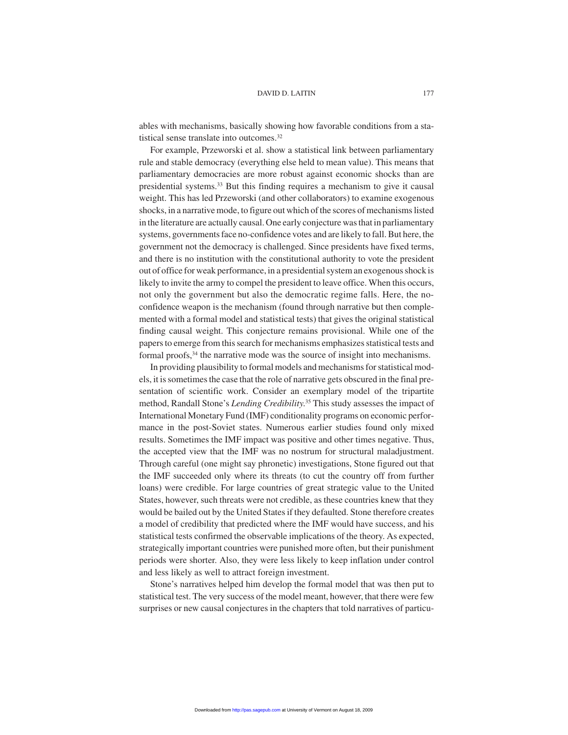ables with mechanisms, basically showing how favorable conditions from a statistical sense translate into outcomes.<sup>32</sup>

For example, Przeworski et al. show a statistical link between parliamentary rule and stable democracy (everything else held to mean value). This means that parliamentary democracies are more robust against economic shocks than are presidential systems.33 But this finding requires a mechanism to give it causal weight. This has led Przeworski (and other collaborators) to examine exogenous shocks, in a narrative mode, to figure out which of the scores of mechanisms listed in the literature are actually causal. One early conjecture was that in parliamentary systems, governments face no-confidence votes and are likely to fall. But here, the government not the democracy is challenged. Since presidents have fixed terms, and there is no institution with the constitutional authority to vote the president out of office for weak performance, in a presidential system an exogenous shock is likely to invite the army to compel the president to leave office. When this occurs, not only the government but also the democratic regime falls. Here, the noconfidence weapon is the mechanism (found through narrative but then complemented with a formal model and statistical tests) that gives the original statistical finding causal weight. This conjecture remains provisional. While one of the papers to emerge from this search for mechanisms emphasizes statistical tests and formal proofs,34 the narrative mode was the source of insight into mechanisms.

In providing plausibility to formal models and mechanisms for statistical models, it is sometimes the case that the role of narrative gets obscured in the final presentation of scientific work. Consider an exemplary model of the tripartite method, Randall Stone's *Lending Credibility*. <sup>35</sup> This study assesses the impact of International Monetary Fund (IMF) conditionality programs on economic performance in the post-Soviet states. Numerous earlier studies found only mixed results. Sometimes the IMF impact was positive and other times negative. Thus, the accepted view that the IMF was no nostrum for structural maladjustment. Through careful (one might say phronetic) investigations, Stone figured out that the IMF succeeded only where its threats (to cut the country off from further loans) were credible. For large countries of great strategic value to the United States, however, such threats were not credible, as these countries knew that they would be bailed out by the United States if they defaulted. Stone therefore creates a model of credibility that predicted where the IMF would have success, and his statistical tests confirmed the observable implications of the theory. As expected, strategically important countries were punished more often, but their punishment periods were shorter. Also, they were less likely to keep inflation under control and less likely as well to attract foreign investment.

Stone's narratives helped him develop the formal model that was then put to statistical test. The very success of the model meant, however, that there were few surprises or new causal conjectures in the chapters that told narratives of particu-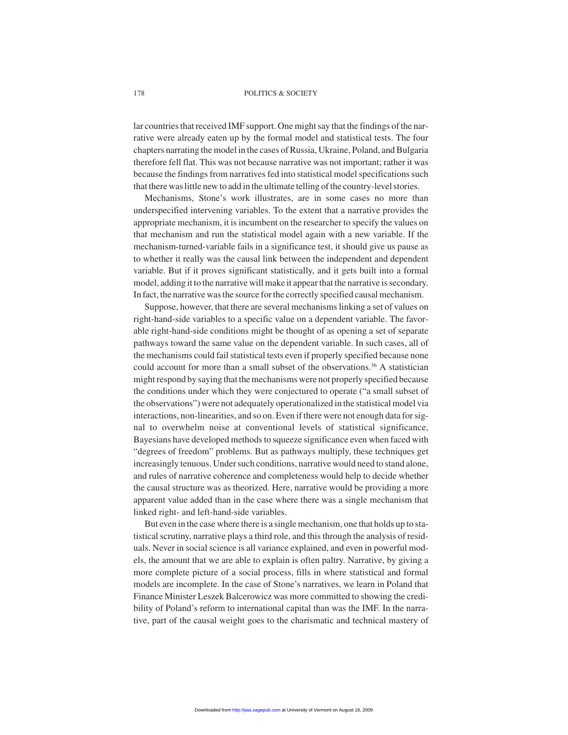lar countries that received IMF support. One might say that the findings of the narrative were already eaten up by the formal model and statistical tests. The four chapters narrating the model in the cases of Russia, Ukraine, Poland, and Bulgaria therefore fell flat. This was not because narrative was not important; rather it was because the findings from narratives fed into statistical model specifications such that there was little new to add in the ultimate telling of the country-level stories.

Mechanisms, Stone's work illustrates, are in some cases no more than underspecified intervening variables. To the extent that a narrative provides the appropriate mechanism, it is incumbent on the researcher to specify the values on that mechanism and run the statistical model again with a new variable. If the mechanism-turned-variable fails in a significance test, it should give us pause as to whether it really was the causal link between the independent and dependent variable. But if it proves significant statistically, and it gets built into a formal model, adding it to the narrative will make it appear that the narrative is secondary. In fact, the narrative was the source for the correctly specified causal mechanism.

Suppose, however, that there are several mechanisms linking a set of values on right-hand-side variables to a specific value on a dependent variable. The favorable right-hand-side conditions might be thought of as opening a set of separate pathways toward the same value on the dependent variable. In such cases, all of the mechanisms could fail statistical tests even if properly specified because none could account for more than a small subset of the observations.<sup>36</sup> A statistician might respond by saying that the mechanisms were not properly specified because the conditions under which they were conjectured to operate ("a small subset of the observations") were not adequately operationalized in the statistical model via interactions, non-linearities, and so on. Even if there were not enough data for signal to overwhelm noise at conventional levels of statistical significance, Bayesians have developed methods to squeeze significance even when faced with "degrees of freedom" problems. But as pathways multiply, these techniques get increasingly tenuous. Under such conditions, narrative would need to stand alone, and rules of narrative coherence and completeness would help to decide whether the causal structure was as theorized. Here, narrative would be providing a more apparent value added than in the case where there was a single mechanism that linked right- and left-hand-side variables.

But even in the case where there is a single mechanism, one that holds up to statistical scrutiny, narrative plays a third role, and this through the analysis of residuals. Never in social science is all variance explained, and even in powerful models, the amount that we are able to explain is often paltry. Narrative, by giving a more complete picture of a social process, fills in where statistical and formal models are incomplete. In the case of Stone's narratives, we learn in Poland that Finance Minister Leszek Balcerowicz was more committed to showing the credibility of Poland's reform to international capital than was the IMF. In the narrative, part of the causal weight goes to the charismatic and technical mastery of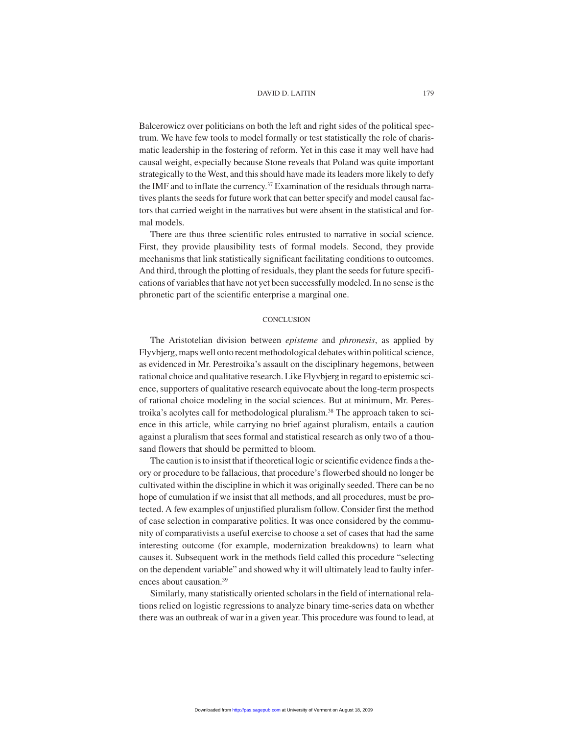Balcerowicz over politicians on both the left and right sides of the political spectrum. We have few tools to model formally or test statistically the role of charismatic leadership in the fostering of reform. Yet in this case it may well have had causal weight, especially because Stone reveals that Poland was quite important strategically to the West, and this should have made its leaders more likely to defy the IMF and to inflate the currency.37 Examination of the residuals through narratives plants the seeds for future work that can better specify and model causal factors that carried weight in the narratives but were absent in the statistical and formal models.

There are thus three scientific roles entrusted to narrative in social science. First, they provide plausibility tests of formal models. Second, they provide mechanisms that link statistically significant facilitating conditions to outcomes. And third, through the plotting of residuals, they plant the seeds for future specifications of variables that have not yet been successfully modeled. In no sense is the phronetic part of the scientific enterprise a marginal one.

#### **CONCLUSION**

The Aristotelian division between *episteme* and *phronesis*, as applied by Flyvbjerg, maps well onto recent methodological debates within political science, as evidenced in Mr. Perestroika's assault on the disciplinary hegemons, between rational choice and qualitative research. Like Flyvbjerg in regard to epistemic science, supporters of qualitative research equivocate about the long-term prospects of rational choice modeling in the social sciences. But at minimum, Mr. Perestroika's acolytes call for methodological pluralism.38 The approach taken to science in this article, while carrying no brief against pluralism, entails a caution against a pluralism that sees formal and statistical research as only two of a thousand flowers that should be permitted to bloom.

The caution is to insist that if theoretical logic or scientific evidence finds a theory or procedure to be fallacious, that procedure's flowerbed should no longer be cultivated within the discipline in which it was originally seeded. There can be no hope of cumulation if we insist that all methods, and all procedures, must be protected. A few examples of unjustified pluralism follow. Consider first the method of case selection in comparative politics. It was once considered by the community of comparativists a useful exercise to choose a set of cases that had the same interesting outcome (for example, modernization breakdowns) to learn what causes it. Subsequent work in the methods field called this procedure "selecting on the dependent variable" and showed why it will ultimately lead to faulty inferences about causation.<sup>39</sup>

Similarly, many statistically oriented scholars in the field of international relations relied on logistic regressions to analyze binary time-series data on whether there was an outbreak of war in a given year. This procedure was found to lead, at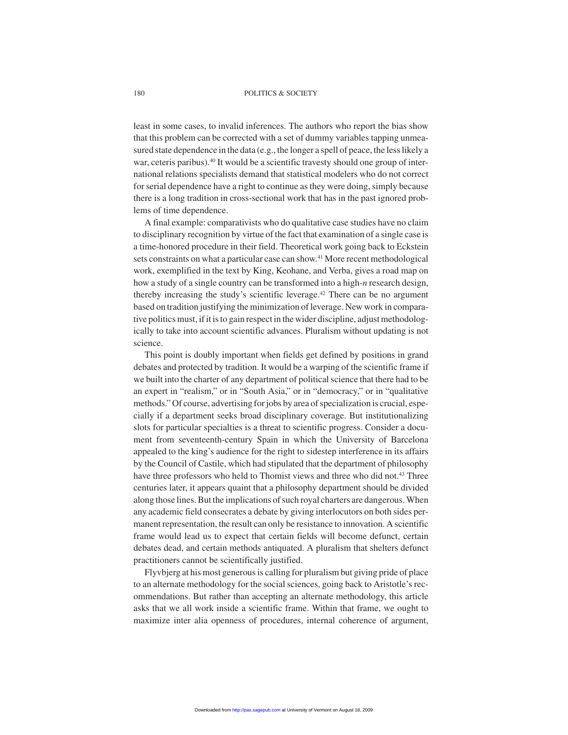least in some cases, to invalid inferences. The authors who report the bias show that this problem can be corrected with a set of dummy variables tapping unmeasured state dependence in the data (e.g., the longer a spell of peace, the less likely a war, ceteris paribus).<sup>40</sup> It would be a scientific travesty should one group of international relations specialists demand that statistical modelers who do not correct for serial dependence have a right to continue as they were doing, simply because there is a long tradition in cross-sectional work that has in the past ignored problems of time dependence.

A final example: comparativists who do qualitative case studies have no claim to disciplinary recognition by virtue of the fact that examination of a single case is a time-honored procedure in their field. Theoretical work going back to Eckstein sets constraints on what a particular case can show.41 More recent methodological work, exemplified in the text by King, Keohane, and Verba, gives a road map on how a study of a single country can be transformed into a high-*n* research design, thereby increasing the study's scientific leverage.42 There can be no argument based on tradition justifying the minimization of leverage. New work in comparative politics must, if it is to gain respect in the wider discipline, adjust methodologically to take into account scientific advances. Pluralism without updating is not science.

This point is doubly important when fields get defined by positions in grand debates and protected by tradition. It would be a warping of the scientific frame if we built into the charter of any department of political science that there had to be an expert in "realism," or in "South Asia," or in "democracy," or in "qualitative methods." Of course, advertising for jobs by area of specialization is crucial, especially if a department seeks broad disciplinary coverage. But institutionalizing slots for particular specialties is a threat to scientific progress. Consider a document from seventeenth-century Spain in which the University of Barcelona appealed to the king's audience for the right to sidestep interference in its affairs by the Council of Castile, which had stipulated that the department of philosophy have three professors who held to Thomist views and three who did not.<sup>43</sup> Three centuries later, it appears quaint that a philosophy department should be divided along those lines. But the implications of such royal charters are dangerous. When any academic field consecrates a debate by giving interlocutors on both sides permanent representation, the result can only be resistance to innovation. A scientific frame would lead us to expect that certain fields will become defunct, certain debates dead, and certain methods antiquated. A pluralism that shelters defunct practitioners cannot be scientifically justified.

Flyvbjerg at his most generous is calling for pluralism but giving pride of place to an alternate methodology for the social sciences, going back to Aristotle's recommendations. But rather than accepting an alternate methodology, this article asks that we all work inside a scientific frame. Within that frame, we ought to maximize inter alia openness of procedures, internal coherence of argument,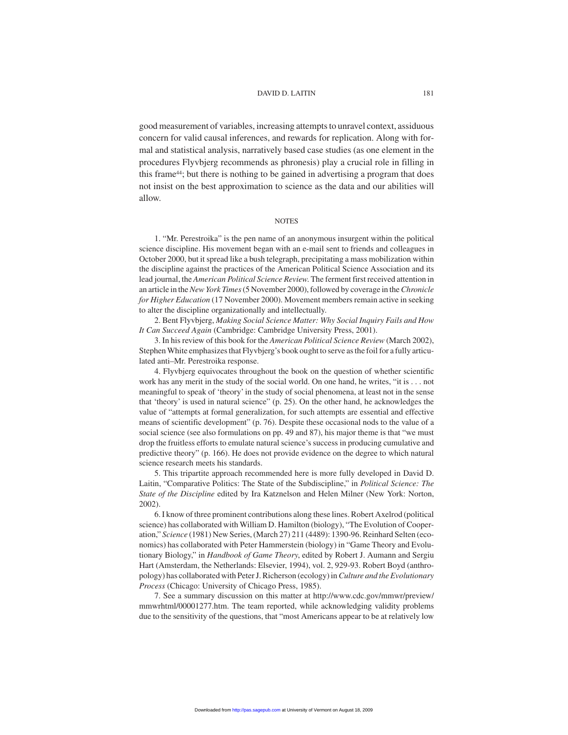good measurement of variables, increasing attempts to unravel context, assiduous concern for valid causal inferences, and rewards for replication. Along with formal and statistical analysis, narratively based case studies (as one element in the procedures Flyvbjerg recommends as phronesis) play a crucial role in filling in this frame44; but there is nothing to be gained in advertising a program that does not insist on the best approximation to science as the data and our abilities will allow.

#### **NOTES**

1. "Mr. Perestroika" is the pen name of an anonymous insurgent within the political science discipline. His movement began with an e-mail sent to friends and colleagues in October 2000, but it spread like a bush telegraph, precipitating a mass mobilization within the discipline against the practices of the American Political Science Association and its lead journal, the *American Political Science Review*. The ferment first received attention in an article in the*New York Times*(5 November 2000), followed by coverage in the*Chronicle for Higher Education* (17 November 2000). Movement members remain active in seeking to alter the discipline organizationally and intellectually.

2. Bent Flyvbjerg, *Making Social Science Matter: Why Social Inquiry Fails and How It Can Succeed Again* (Cambridge: Cambridge University Press, 2001).

3. In his review of this book for the *American Political Science Review* (March 2002), Stephen White emphasizes that Flyvbjerg's book ought to serve as the foil for a fully articulated anti–Mr. Perestroika response.

4. Flyvbjerg equivocates throughout the book on the question of whether scientific work has any merit in the study of the social world. On one hand, he writes, "it is . . . not meaningful to speak of 'theory' in the study of social phenomena, at least not in the sense that 'theory' is used in natural science" (p. 25). On the other hand, he acknowledges the value of "attempts at formal generalization, for such attempts are essential and effective means of scientific development" (p. 76). Despite these occasional nods to the value of a social science (see also formulations on pp. 49 and 87), his major theme is that "we must drop the fruitless efforts to emulate natural science's success in producing cumulative and predictive theory" (p. 166). He does not provide evidence on the degree to which natural science research meets his standards.

5. This tripartite approach recommended here is more fully developed in David D. Laitin, "Comparative Politics: The State of the Subdiscipline," in *Political Science: The State of the Discipline* edited by Ira Katznelson and Helen Milner (New York: Norton, 2002).

6. I know of three prominent contributions along these lines. Robert Axelrod (political science) has collaborated with William D. Hamilton (biology), "The Evolution of Cooperation," *Science* (1981) New Series, (March 27) 211 (4489): 1390-96. Reinhard Selten (economics) has collaborated with Peter Hammerstein (biology) in "Game Theory and Evolutionary Biology," in *Handbook of Game Theory*, edited by Robert J. Aumann and Sergiu Hart (Amsterdam, the Netherlands: Elsevier, 1994), vol. 2, 929-93. Robert Boyd (anthropology) has collaborated with Peter J. Richerson (ecology) in*Culture and the Evolutionary Process* (Chicago: University of Chicago Press, 1985).

7. See a summary discussion on this matter at http://www.cdc.gov/mmwr/preview/ mmwrhtml/00001277.htm. The team reported, while acknowledging validity problems due to the sensitivity of the questions, that "most Americans appear to be at relatively low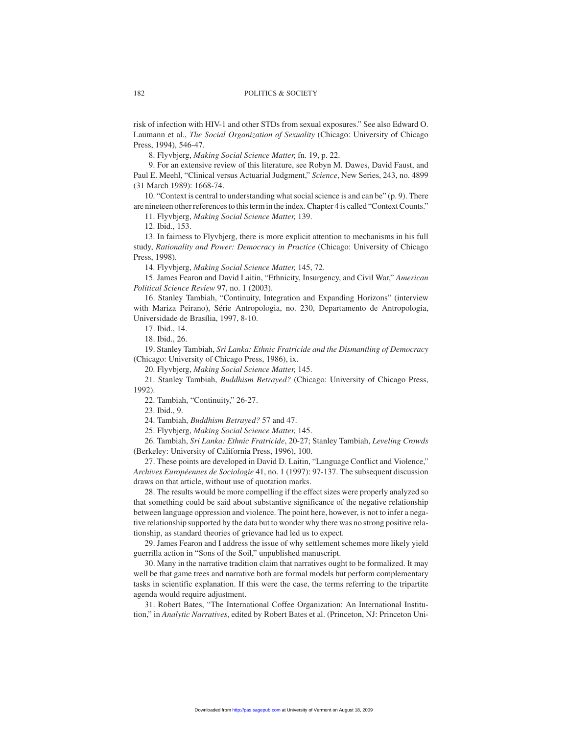risk of infection with HIV-1 and other STDs from sexual exposures." See also Edward O. Laumann et al., *The Social Organization of Sexuality* (Chicago: University of Chicago Press, 1994), 546-47.

8. Flyvbjerg, *Making Social Science Matter*, fn. 19, p. 22.

9. For an extensive review of this literature, see Robyn M. Dawes, David Faust, and Paul E. Meehl, "Clinical versus Actuarial Judgment," *Science*, New Series, 243, no. 4899 (31 March 1989): 1668-74.

10. "Context is central to understanding what social science is and can be" (p. 9). There are nineteen other references to this term in the index. Chapter 4 is called "Context Counts."

11. Flyvbjerg, *Making Social Science Matter*, 139.

12. Ibid., 153.

13. In fairness to Flyvbjerg, there is more explicit attention to mechanisms in his full study, *Rationality and Power: Democracy in Practice* (Chicago: University of Chicago Press, 1998).

14. Flyvbjerg, *Making Social Science Matter*, 145, 72.

15. James Fearon and David Laitin, "Ethnicity, Insurgency, and Civil War," *American Political Science Review* 97, no. 1 (2003).

16. Stanley Tambiah, "Continuity, Integration and Expanding Horizons" (interview with Mariza Peirano), Série Antropologia, no. 230, Departamento de Antropologia, Universidade de Brasília, 1997, 8-10.

17. Ibid., 14.

18. Ibid., 26.

19. Stanley Tambiah, *Sri Lanka: Ethnic Fratricide and the Dismantling of Democracy* (Chicago: University of Chicago Press, 1986), ix.

20. Flyvbjerg, *Making Social Science Matter*, 145.

21. Stanley Tambiah, *Buddhism Betrayed?* (Chicago: University of Chicago Press, 1992).

22. Tambiah, "Continuity," 26-27.

23. Ibid., 9.

24. Tambiah, *Buddhism Betrayed?* 57 and 47.

25. Flyvbjerg, *Making Social Science Matter*, 145.

26. Tambiah, *Sri Lanka: Ethnic Fratricide*, 20-27; Stanley Tambiah, *Leveling Crowds* (Berkeley: University of California Press, 1996), 100.

27. These points are developed in David D. Laitin, "Language Conflict and Violence," *Archives Européennes de Sociologie* 41, no. 1 (1997): 97-137. The subsequent discussion draws on that article, without use of quotation marks.

28. The results would be more compelling if the effect sizes were properly analyzed so that something could be said about substantive significance of the negative relationship between language oppression and violence. The point here, however, is not to infer a negative relationship supported by the data but to wonder why there was no strong positive relationship, as standard theories of grievance had led us to expect.

29. James Fearon and I address the issue of why settlement schemes more likely yield guerrilla action in "Sons of the Soil," unpublished manuscript.

30. Many in the narrative tradition claim that narratives ought to be formalized. It may well be that game trees and narrative both are formal models but perform complementary tasks in scientific explanation. If this were the case, the terms referring to the tripartite agenda would require adjustment.

31. Robert Bates, "The International Coffee Organization: An International Institution," in *Analytic Narratives*, edited by Robert Bates et al. (Princeton, NJ: Princeton Uni-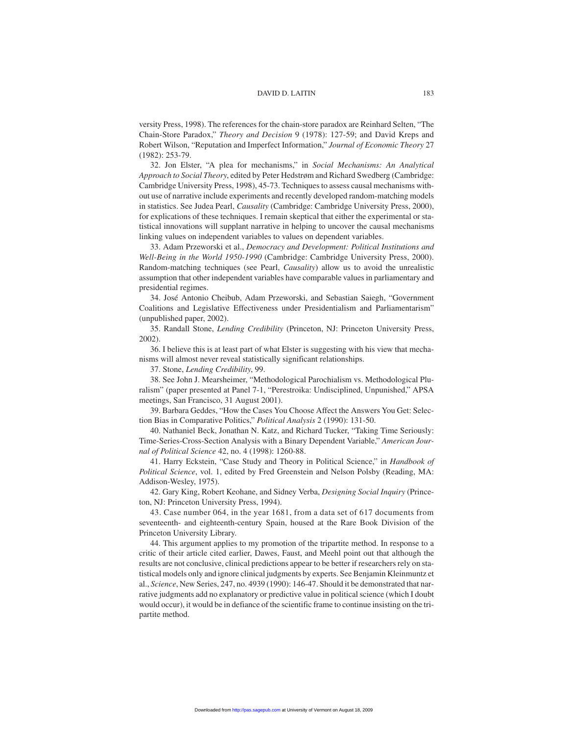versity Press, 1998). The references for the chain-store paradox are Reinhard Selten, "The Chain-Store Paradox," *Theory and Decision* 9 (1978): 127-59; and David Kreps and Robert Wilson, "Reputation and Imperfect Information," *Journal of Economic Theory* 27 (1982): 253-79.

32. Jon Elster, "A plea for mechanisms," in *Social Mechanisms: An Analytical Approach to Social Theory*, edited by Peter Hedstrøm and Richard Swedberg (Cambridge: Cambridge University Press, 1998), 45-73. Techniques to assess causal mechanisms without use of narrative include experiments and recently developed random-matching models in statistics. See Judea Pearl, *Causality* (Cambridge: Cambridge University Press, 2000), for explications of these techniques. I remain skeptical that either the experimental or statistical innovations will supplant narrative in helping to uncover the causal mechanisms linking values on independent variables to values on dependent variables.

33. Adam Przeworski et al., *Democracy and Development: Political Institutions and Well-Being in the World 1950-1990* (Cambridge: Cambridge University Press, 2000). Random-matching techniques (see Pearl, *Causality*) allow us to avoid the unrealistic assumption that other independent variables have comparable values in parliamentary and presidential regimes.

34. José Antonio Cheibub, Adam Przeworski, and Sebastian Saiegh, "Government Coalitions and Legislative Effectiveness under Presidentialism and Parliamentarism" (unpublished paper, 2002).

35. Randall Stone, *Lending Credibility* (Princeton, NJ: Princeton University Press, 2002).

36. I believe this is at least part of what Elster is suggesting with his view that mechanisms will almost never reveal statistically significant relationships.

37. Stone, *Lending Credibility*, 99.

38. See John J. Mearsheimer, "Methodological Parochialism vs. Methodological Pluralism" (paper presented at Panel 7-1, "Perestroika: Undisciplined, Unpunished," APSA meetings, San Francisco, 31 August 2001).

39. Barbara Geddes, "How the Cases You Choose Affect the Answers You Get: Selection Bias in Comparative Politics," *Political Analysis* 2 (1990): 131-50.

40. Nathaniel Beck, Jonathan N. Katz, and Richard Tucker, "Taking Time Seriously: Time-Series-Cross-Section Analysis with a Binary Dependent Variable," *American Journal of Political Science* 42, no. 4 (1998): 1260-88.

41. Harry Eckstein, "Case Study and Theory in Political Science," in *Handbook of Political Science*, vol. 1, edited by Fred Greenstein and Nelson Polsby (Reading, MA: Addison-Wesley, 1975).

42. Gary King, Robert Keohane, and Sidney Verba, *Designing Social Inquiry* (Princeton, NJ: Princeton University Press, 1994).

43. Case number 064, in the year 1681, from a data set of 617 documents from seventeenth- and eighteenth-century Spain, housed at the Rare Book Division of the Princeton University Library.

44. This argument applies to my promotion of the tripartite method. In response to a critic of their article cited earlier, Dawes, Faust, and Meehl point out that although the results are not conclusive, clinical predictions appear to be better if researchers rely on statistical models only and ignore clinical judgments by experts. See Benjamin Kleinmuntz et al., *Science*, New Series, 247, no. 4939 (1990): 146-47. Should it be demonstrated that narrative judgments add no explanatory or predictive value in political science (which I doubt would occur), it would be in defiance of the scientific frame to continue insisting on the tripartite method.